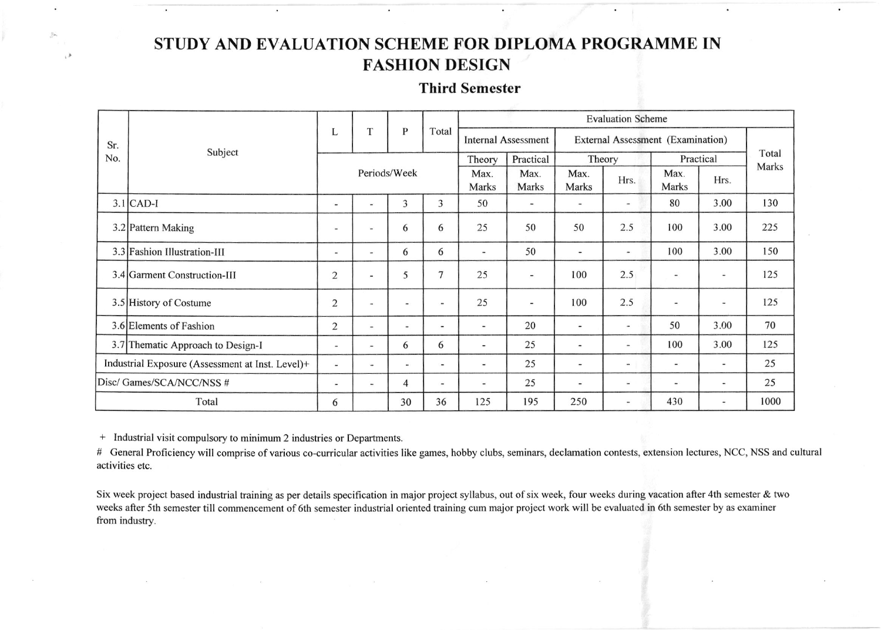# STUDY AND EVALUATION SCHEME FOR DIPLOMA PROGRAMME IN **FASHION DESIGN**

## **Third Semester**

| Sr.<br>No.                                       | Subject                           | L                        | T                        | P                        | Total                    | <b>Evaluation Scheme</b>     |                            |                                   |                              |                              |                          |       |
|--------------------------------------------------|-----------------------------------|--------------------------|--------------------------|--------------------------|--------------------------|------------------------------|----------------------------|-----------------------------------|------------------------------|------------------------------|--------------------------|-------|
|                                                  |                                   |                          |                          |                          |                          |                              | <b>Internal Assessment</b> | External Assessment (Examination) |                              |                              |                          |       |
|                                                  |                                   | Periods/Week             |                          |                          |                          | Theory                       | Practical<br>Theory        |                                   | Practical                    |                              | Total                    |       |
|                                                  |                                   |                          |                          |                          |                          | Max.<br>Marks                | Max.<br>Marks              | Max.<br>Marks                     | Hrs.                         | Max.<br>Marks                | Hrs.                     | Marks |
|                                                  | $3.1$ CAD-I                       | ٠                        | in.                      | 3                        | 3                        | 50                           | $\blacksquare$             |                                   | ۰                            | 80                           | 3.00                     | 130   |
|                                                  | 3.2 Pattern Making                | $\overline{\phantom{a}}$ | $\blacksquare$           | 6                        | 6                        | 25                           | 50                         | 50                                | 2.5                          | 100                          | 3.00                     | 225   |
|                                                  | 3.3 Fashion Illustration-III      | $\overline{\phantom{m}}$ | $\blacksquare$           | 6                        | 6                        | $\blacksquare$               | 50                         | $\qquad \qquad \blacksquare$      | $\tilde{\phantom{a}}$        | 100                          | 3.00                     | 150   |
|                                                  | 3.4 Garment Construction-III      | $\overline{2}$           |                          | 5                        | 7                        | 25                           | $\blacksquare$             | 100                               | 2.5                          | $\qquad \qquad \blacksquare$ | ÷.                       | 125   |
|                                                  | 3.5 History of Costume            | $\overline{c}$           | $\sim$                   |                          |                          | 25                           | $\overline{\phantom{a}}$   | 100                               | 2.5                          | $\blacksquare$               | $\overline{\phantom{a}}$ | 125   |
|                                                  | 3.6 Elements of Fashion           | $\overline{2}$           | $\blacksquare$           | $\overline{\phantom{a}}$ | $\overline{\phantom{a}}$ | $\qquad \qquad \blacksquare$ | 20                         | $\overline{\phantom{0}}$          | $\overline{\phantom{a}}$     | 50                           | 3.00                     | 70    |
|                                                  | 3.7 Thematic Approach to Design-I | $\blacksquare$           | -                        | 6                        | 6                        | $\overline{\phantom{a}}$     | 25                         | -                                 | $\overline{\phantom{0}}$     | 100                          | 3.00                     | 125   |
| Industrial Exposure (Assessment at Inst. Level)+ |                                   | $\frac{1}{2}$            | $\overline{\phantom{a}}$ | $\sim$                   | $\blacksquare$           | $\overline{\phantom{a}}$     | 25                         | $\blacksquare$                    | $\blacksquare$               | ۰                            | $\overline{\phantom{a}}$ | 25    |
| Disc/ Games/SCA/NCC/NSS #                        |                                   | $\overline{\phantom{0}}$ | $\blacksquare$           | 4                        | $\overline{\phantom{0}}$ | $\blacksquare$               | 25                         | $\overline{\phantom{a}}$          | $\qquad \qquad \blacksquare$ | $\overline{\phantom{a}}$     | $\overline{\phantom{0}}$ | 25    |
| Total                                            |                                   | 6                        |                          | 30                       | 36                       | 125                          | 195                        | 250                               | $\overline{\phantom{0}}$     | 430                          | $\overline{\phantom{a}}$ | 1000  |

+ Industrial visit compulsory to minimum 2 industries or Departments.

 $\sqrt{2}$ 

# General Proficiency will comprise of various co-curricular activities like games, hobby clubs, seminars, declamation contests, extension lectures, NCC, NSS and cultural activities etc.

Six week project based industrial training as per details specification in major project syllabus, out of six week, four weeks during vacation after 4th semester & two weeks after 5th semester till commencement of 6th semester industrial oriented training cum major project work will be evaluated in 6th semester by as examiner from industry.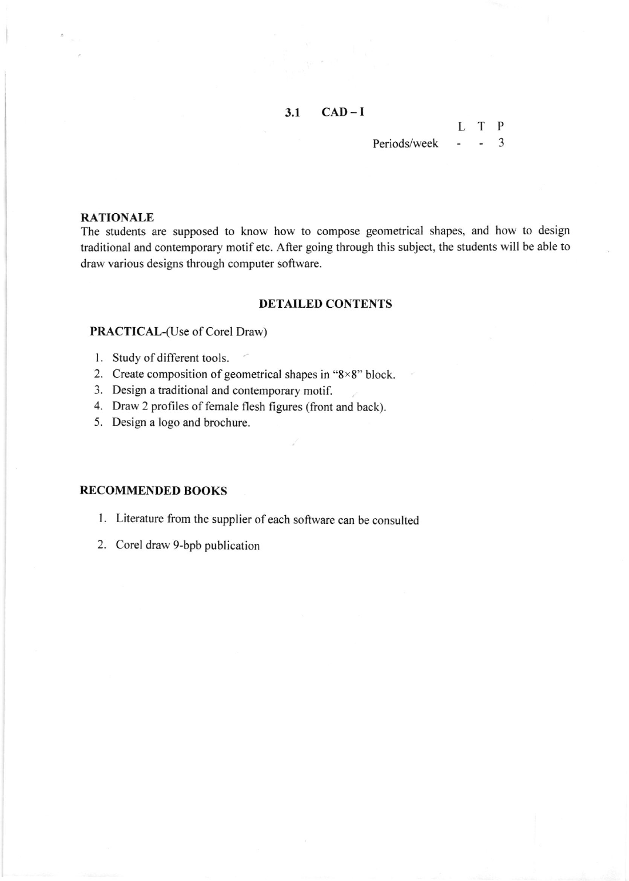### $3.1$  CAD-I

#### Periods/week .,

L T P

#### RATIONALE

The students are supposed to know how to compose geometrical shapes, and how to design traditional and contemporary motif etc. After going through this subject, the students will be able to draw various designs through computer software.

#### DETAILED CONTENTS

### PRACTICAL-(Use of Corel Draw)

- l. Study of different tools.
- 2. Create composition of geometrical shapes in " $8\times8$ " block.
- 3. Design a traditional and contemporary motif.
- 4. Draw 2 profiles of female flesh figures (front and back).
- 5. Design a logo and brochure.

#### RECOMMENDED BOOKS

- <sup>I</sup>. Literature from the supplier of each software can be consulted
- 2. Corel draw 9-bpb publication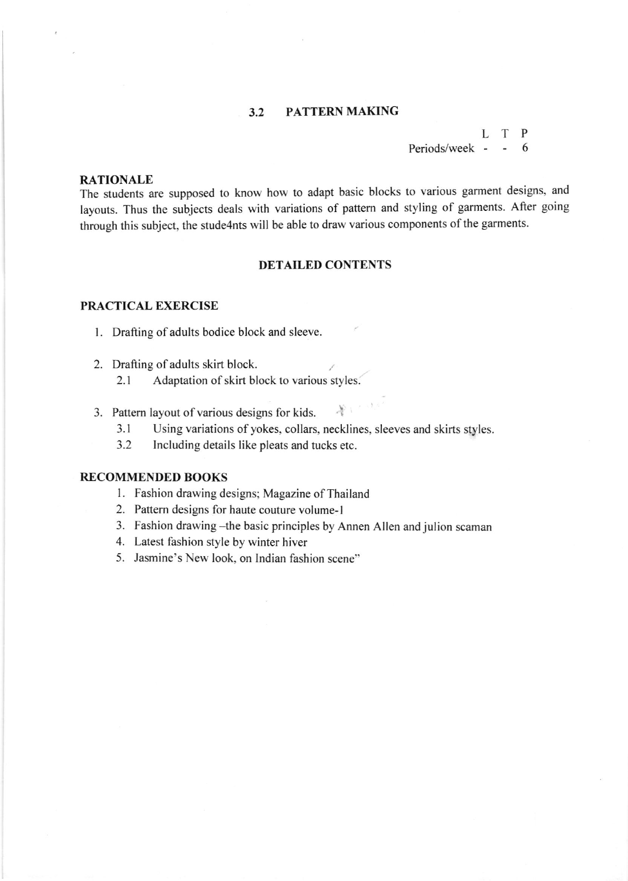#### 3.2 PATTERN MAKING

#### L T P Periods/week 6

### RATIONALE

The students are supposed to know how to adapt basic blocks to various garment designs, and layouts. Thus the subjects deals with variations of pattern and styling of garments. Aller going through this subject, the stude4nts will be able to draw various components of the garments.

#### DETAILED CONTENTS

#### PRACTICAL EXERCISE

- <sup>I</sup>. Drafting of adults bodice block and sleeve.
- 2. Drafting of adults skirt block.
	- 2.1 Adaptation of skirt block to various styles.
- 3. Pattern layout of various designs for kids.  $\mathcal{X}$ 
	- 3.1 Using variations of yokes, collars, necklines, sleeves and skirts styles.
	- 3.2 Including details like pleats and tucks etc.

#### RECOMMENDED BOOKS

- 1. Fashion drawing designs; Magazine of Thailand
- 2. Pattern designs for haute couture volume-l
- 3. Fashion drawing -the basic principles by Annen Allen and julion scaman
- 4. Latest fashion style by winter hiver
- 5. Jasmine's New look. on lndian fashion scene"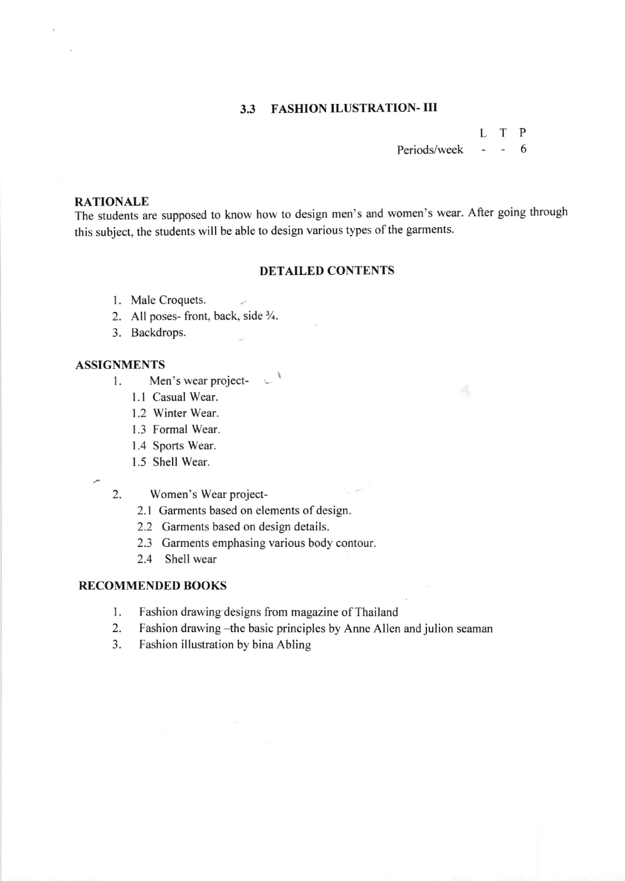### 3.3 FASHION ILUSTRATION. III

## L T P Periods/week - - 6

Á

### RATIONALE

The students are supposed to know how to design men's and women's wear. After going through this subject, the students will be able to design various types of the garments.

#### DETAILED CONTENTS

- <sup>I</sup>. Male Croquets.
- 2. All poses-front, back, side 3/4.
- 3. Backdrops.

#### ASSIGNMENTS

- $\mathcal{L}$ 1. Men's wear project-
	- <sup>I</sup>.l Casual Wear.
	- <sup>I</sup>.2 Winter Wear.
	- 1.3 Formal Wear.
	- <sup>I</sup>.4 Sports Wear.
	- <sup>I</sup>.5 Shell Wear.
- 
- Women's Wear project-2
	- 2.1 Garments based on elements of design.
	- 2.2 Garments based on design details.
	- 2.3 Garments emphasing various body contour.
	- 2.4 Shell wear

#### RECOMMENDED BOOKS

- 1. Fashion drawing designs from magazine of Thailand
- 2. Fashion drawing -the basic principles by Anne Allen and julion seaman
- 3. Fashion illustration by bina Abling